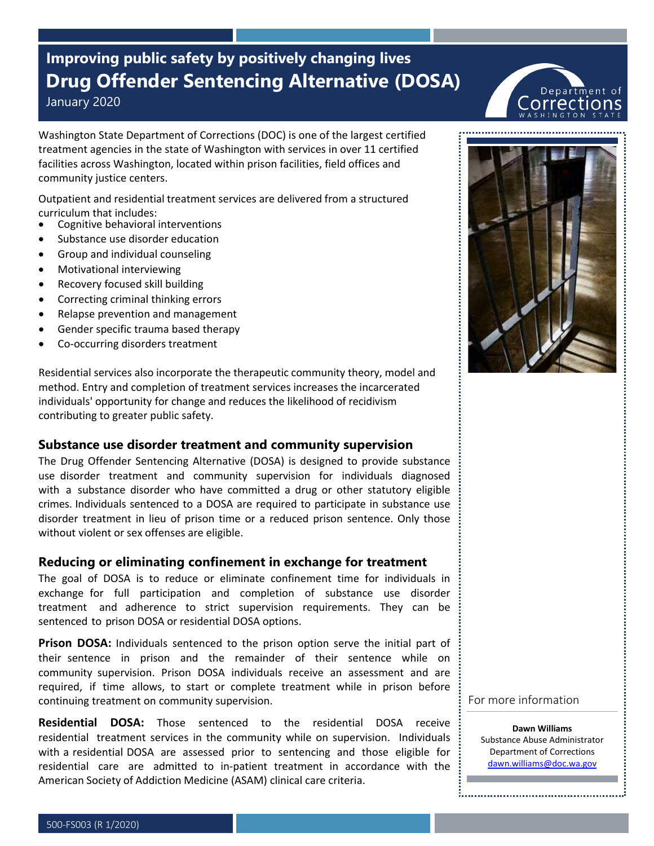# **Improving public safety by positively changing lives Drug Offender Sentencing Alternative (DOSA)**

January 2020

Washington State Department of Corrections (DOC) is one of the largest certified treatment agencies in the state of Washington with services in over 11 certified facilities across Washington, located within prison facilities, field offices and community justice centers.

Outpatient and residential treatment services are delivered from a structured curriculum that includes:

- Cognitive behavioral interventions
- Substance use disorder education
- Group and individual counseling
- Motivational interviewing
- Recovery focused skill building
- Correcting criminal thinking errors
- Relapse prevention and management
- Gender specific trauma based therapy
- Co-occurring disorders treatment

Residential services also incorporate the therapeutic community theory, model and method. Entry and completion of treatment services increases the incarcerated individuals' opportunity for change and reduces the likelihood of recidivism contributing to greater public safety.

### **Substance use disorder treatment and community supervision**

The Drug Offender Sentencing Alternative (DOSA) is designed to provide substance use disorder treatment and community supervision for individuals diagnosed with a substance disorder who have committed a drug or other statutory eligible crimes. Individuals sentenced to a DOSA are required to participate in substance use disorder treatment in lieu of prison time or a reduced prison sentence. Only those without violent or sex offenses are eligible.

### **Reducing or eliminating confinement in exchange for treatment**

The goal of DOSA is to reduce or eliminate confinement time for individuals in exchange for full participation and completion of substance use disorder treatment and adherence to strict supervision requirements. They can be sentenced to prison DOSA or residential DOSA options.

**Prison DOSA:** Individuals sentenced to the prison option serve the initial part of their sentence in prison and the remainder of their sentence while on community supervision. Prison DOSA individuals receive an assessment and are required, if time allows, to start or complete treatment while in prison before continuing treatment on community supervision.

**Residential DOSA:** Those sentenced to the residential DOSA receive residential treatment services in the community while on supervision. Individuals with a residential DOSA are assessed prior to sentencing and those eligible for residential care are admitted to in-patient treatment in accordance with the American Society of Addiction Medicine (ASAM) clinical care criteria.



For more information

**Dawn Williams** Substance Abuse Administrator Department of Corrections [dawn.williams@doc.wa.gov](mailto:dawn.williams@doc.wa.gov)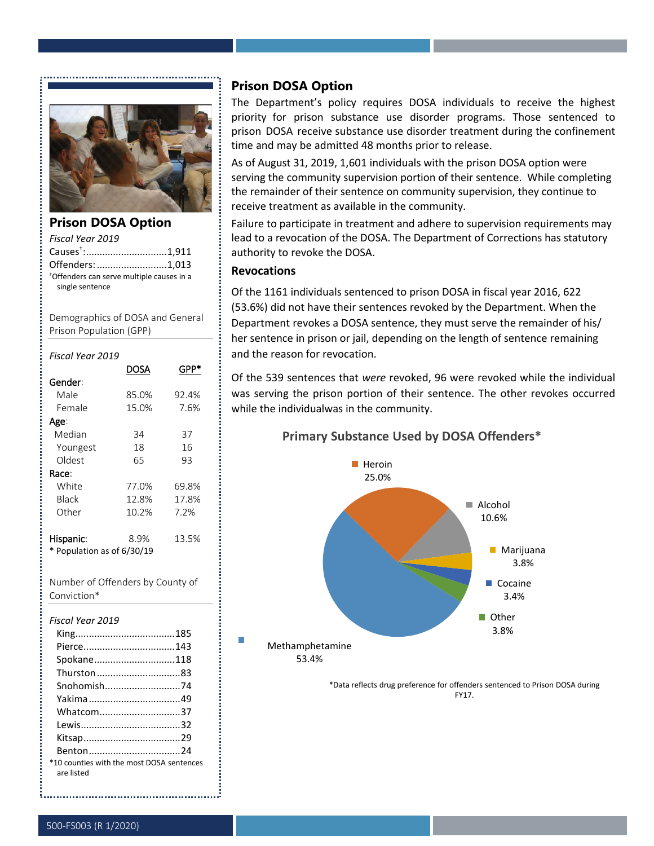

**Prison DOSA Option** *Fiscal Year 2019* 

Causes† : ..............................1,911 Offenders:..........................1,013 †Offenders can serve multiple causes in a single sentence

Demographics of DOSA and General Prison Population (GPP)

| Fiscal Year 2019                      |       |       |
|---------------------------------------|-------|-------|
|                                       | DOSA  | GPP'  |
| Gender:                               |       |       |
| Male                                  | 85.0% | 92.4% |
| Female                                | 15.0% | 7.6%  |
| Age:                                  |       |       |
| Median                                | 34    | 37    |
| Youngest                              | 18    | 16    |
| Oldest                                | 65    | 93    |
| Race:                                 |       |       |
| White                                 | 77.0% | 69.8% |
| <b>Black</b>                          | 12.8% | 17.8% |
| Other                                 | 10.2% | 7.2%  |
| Hispanic:<br>Population as of 6/30/19 | 8.9%  | 13.5% |

Number of Offenders by County of Conviction\*

#### *Fiscal Year 2019*

| Spokane118                                              |  |
|---------------------------------------------------------|--|
| Thurston83                                              |  |
| Snohomish74                                             |  |
|                                                         |  |
| Whatcom37                                               |  |
|                                                         |  |
|                                                         |  |
| Benton24                                                |  |
| *10 counties with the most DOSA sentences<br>are listed |  |

### **Prison DOSA Option**

The Department's policy requires DOSA individuals to receive the highest priority for prison substance use disorder programs. Those sentenced to prison DOSA receive substance use disorder treatment during the confinement time and may be admitted 48 months prior to release.

As of August 31, 2019, 1,601 individuals with the prison DOSA option were serving the community supervision portion of their sentence. While completing the remainder of their sentence on community supervision, they continue to receive treatment as available in the community.

Failure to participate in treatment and adhere to supervision requirements may lead to a revocation of the DOSA. The Department of Corrections has statutory authority to revoke the DOSA.

#### **Revocations**

Of the 1161 individuals sentenced to prison DOSA in fiscal year 2016, 622 (53.6%) did not have their sentences revoked by the Department. When the Department revokes a DOSA sentence, they must serve the remainder of his/ her sentence in prison or jail, depending on the length of sentence remaining and the reason for revocation.

Of the 539 sentences that *were* revoked, 96 were revoked while the individual was serving the prison portion of their sentence. The other revokes occurred while the individualwas in the community.

### **Primary Substance Used by DOSA Offenders\***



\*Data reflects drug preference for offenders sentenced to Prison DOSA during FY17.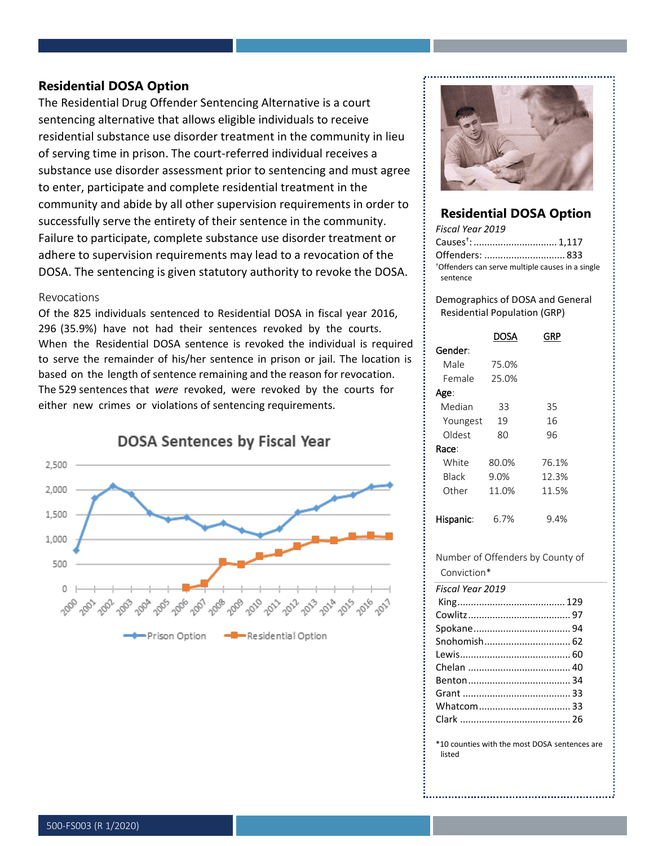### **Residential DOSA Option**

The Residential Drug Offender Sentencing Alternative is a court sentencing alternative that allows eligible individuals to receive residential substance use disorder treatment in the community in lieu of serving time in prison. The court-referred individual receives a substance use disorder assessment prior to sentencing and must agree to enter, participate and complete residential treatment in the community and abide by all other supervision requirements in order to successfully serve the entirety of their sentence in the community. Failure to participate, complete substance use disorder treatment or adhere to supervision requirements may lead to a revocation of the DOSA. The sentencing is given statutory authority to revoke the DOSA.

#### Revocations

Of the 825 individuals sentenced to Residential DOSA in fiscal year 2016, 296 (35.9%) have not had their sentences revoked by the courts. When the Residential DOSA sentence is revoked the individual is required to serve the remainder of his/her sentence in prison or jail. The location is based on the length of sentence remaining and the reason for revocation. The 529 sentences that *were* revoked, were revoked by the courts for either new crimes or violations of sentencing requirements.



**DOSA Sentences by Fiscal Year** 



### **Residential DOSA Option**

| Fiscal Year 2019                                 |  |
|--------------------------------------------------|--|
| Causes <sup>+</sup> :  1,117                     |  |
|                                                  |  |
| *Offenders can serve multiple causes in a single |  |
| sentence                                         |  |

Demographics of DOSA and General Residential Population (GRP)

|                  | DOSA  | GRP                              |
|------------------|-------|----------------------------------|
| Gender:          |       |                                  |
| Male             | 75.0% |                                  |
| Female           | 25.0% |                                  |
| Age:             |       |                                  |
| Median           | 33    | 35                               |
| Youngest         | 19    | 16                               |
| Oldest           | 80    | 96                               |
| Race:            |       |                                  |
| White            | 80.0% | 76.1%                            |
| <b>Black</b>     | 9.0%  | 12.3%                            |
| Other            | 11.0% | 11.5%                            |
| Hispanic:        | 6.7%  | 9.4%                             |
|                  |       | Number of Offenders by County of |
| Conviction*      |       |                                  |
| Fiscal Year 2019 |       |                                  |
|                  |       |                                  |
|                  |       |                                  |
|                  |       |                                  |
|                  |       | Snohomish 62                     |

Lewis......................................... 60 Chelan ...................................... 40 Benton...................................... 34 Grant ........................................ 33 Whatcom.................................. 33 Clark ......................................... 26

\*10 counties with the most DOSA sentences are

listed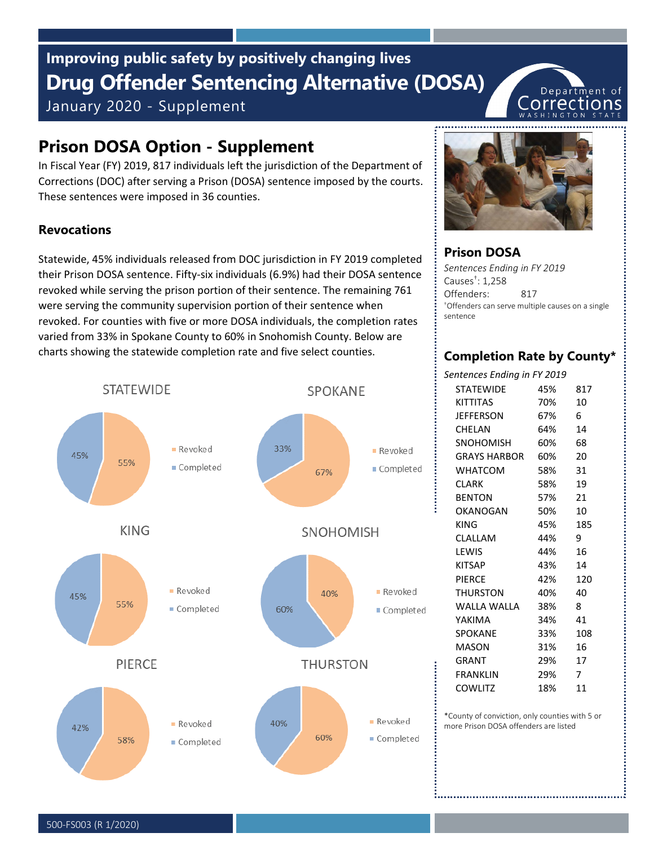# **Drug Offender Sentencing Alternative (DOSA)** January 2020 - Supplement **Improving public safety by positively changing lives**

# **Prison DOSA Option - Supplement**

In Fiscal Year (FY) 2019, 817 individuals left the jurisdiction of the Department of Corrections (DOC) after serving a Prison (DOSA) sentence imposed by the courts. These sentences were imposed in 36 counties.

## **Revocations**

Statewide, 45% individuals released from DOC jurisdiction in FY 2019 completed their Prison DOSA sentence. Fifty-six individuals (6.9%) had their DOSA sentence revoked while serving the prison portion of their sentence. The remaining 761 were serving the community supervision portion of their sentence when revoked. For counties with five or more DOSA individuals, the completion rates varied from 33% in Spokane County to 60% in Snohomish County. Below are charts showing the statewide completion rate and five select counties.





Department of <u>Lorrections</u>

### **Prison DOSA**

*Sentences Ending in FY 2019* Causes† : 1,258 Offenders: 817 †Offenders can serve multiple causes on a single sentence

# **Completion Rate by County\***

| Sentences Ending in FY 2019 |                     |     |                |
|-----------------------------|---------------------|-----|----------------|
|                             | <b>STATFWIDF</b>    | 45% | 817            |
|                             | <b>KITTITAS</b>     | 70% | 10             |
|                             | <b>JEFFERSON</b>    | 67% | 6              |
|                             | <b>CHELAN</b>       | 64% | 14             |
|                             | <b>SNOHOMISH</b>    | 60% | 68             |
|                             | <b>GRAYS HARBOR</b> | 60% | 20             |
|                             | <b>WHATCOM</b>      | 58% | -31            |
|                             | <b>CLARK</b>        | 58% | 19             |
|                             | <b>BENTON</b>       | 57% | -21            |
|                             | OKANOGAN            | 50% | 10             |
|                             | KING                | 45% | 185            |
|                             | CLALLAM             | 44% | 9              |
|                             | <b>I FWIS</b>       | 44% | 16             |
|                             | <b>KITSAP</b>       | 43% | 14             |
|                             | <b>PIFRCF</b>       | 42% | 120            |
|                             | THURSTON            | 40% | 40             |
|                             | WAITA WAITA         | 38% | 8              |
|                             | YAKIMA              | 34% | 41             |
|                             | <b>SPOKANE</b>      | 33% | 108            |
|                             | <b>MASON</b>        | 31% | 16             |
|                             | GRANT               | 29% | 17             |
|                             | <b>FRANKLIN</b>     | 29% | $\overline{7}$ |
|                             | COWLITZ             | 18% | 11             |
|                             |                     |     |                |

\*County of conviction, only counties with 5 or more Prison DOSA offenders are listed